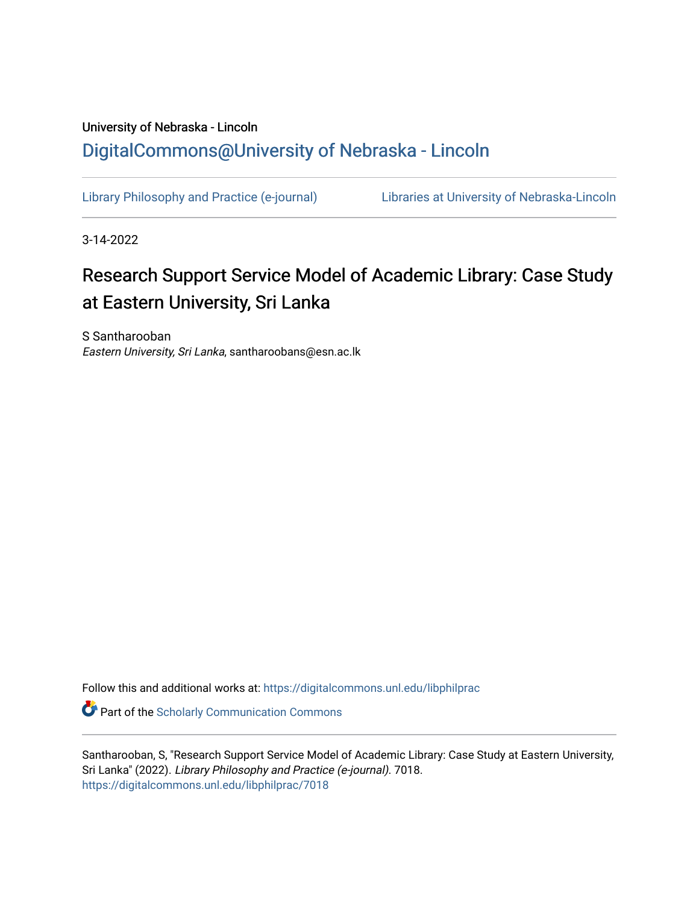# University of Nebraska - Lincoln [DigitalCommons@University of Nebraska - Lincoln](https://digitalcommons.unl.edu/)

[Library Philosophy and Practice \(e-journal\)](https://digitalcommons.unl.edu/libphilprac) [Libraries at University of Nebraska-Lincoln](https://digitalcommons.unl.edu/libraries) 

3-14-2022

# Research Support Service Model of Academic Library: Case Study at Eastern University, Sri Lanka

S Santharooban Eastern University, Sri Lanka, santharoobans@esn.ac.lk

Follow this and additional works at: [https://digitalcommons.unl.edu/libphilprac](https://digitalcommons.unl.edu/libphilprac?utm_source=digitalcommons.unl.edu%2Flibphilprac%2F7018&utm_medium=PDF&utm_campaign=PDFCoverPages) 

**C** Part of the Scholarly Communication Commons

Santharooban, S, "Research Support Service Model of Academic Library: Case Study at Eastern University, Sri Lanka" (2022). Library Philosophy and Practice (e-journal). 7018. [https://digitalcommons.unl.edu/libphilprac/7018](https://digitalcommons.unl.edu/libphilprac/7018?utm_source=digitalcommons.unl.edu%2Flibphilprac%2F7018&utm_medium=PDF&utm_campaign=PDFCoverPages)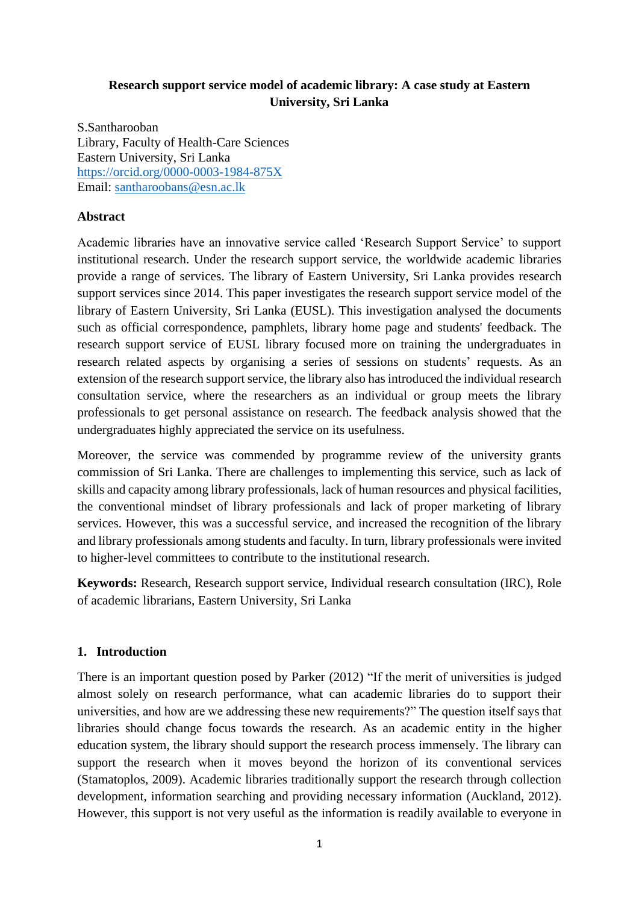# **Research support service model of academic library: A case study at Eastern University, Sri Lanka**

S.Santharooban Library, Faculty of Health-Care Sciences Eastern University, Sri Lanka <https://orcid.org/0000-0003-1984-875X> Email: [santharoobans@esn.ac.lk](mailto:santharoobans@esn.ac.lk)

## **Abstract**

Academic libraries have an innovative service called 'Research Support Service' to support institutional research. Under the research support service, the worldwide academic libraries provide a range of services. The library of Eastern University, Sri Lanka provides research support services since 2014. This paper investigates the research support service model of the library of Eastern University, Sri Lanka (EUSL). This investigation analysed the documents such as official correspondence, pamphlets, library home page and students' feedback. The research support service of EUSL library focused more on training the undergraduates in research related aspects by organising a series of sessions on students' requests. As an extension of the research support service, the library also has introduced the individual research consultation service, where the researchers as an individual or group meets the library professionals to get personal assistance on research. The feedback analysis showed that the undergraduates highly appreciated the service on its usefulness.

Moreover, the service was commended by programme review of the university grants commission of Sri Lanka. There are challenges to implementing this service, such as lack of skills and capacity among library professionals, lack of human resources and physical facilities, the conventional mindset of library professionals and lack of proper marketing of library services. However, this was a successful service, and increased the recognition of the library and library professionals among students and faculty. In turn, library professionals were invited to higher-level committees to contribute to the institutional research.

**Keywords:** Research, Research support service, Individual research consultation (IRC), Role of academic librarians, Eastern University, Sri Lanka

## **1. Introduction**

There is an important question posed by Parker (2012) "If the merit of universities is judged almost solely on research performance, what can academic libraries do to support their universities, and how are we addressing these new requirements?" The question itself says that libraries should change focus towards the research. As an academic entity in the higher education system, the library should support the research process immensely. The library can support the research when it moves beyond the horizon of its conventional services (Stamatoplos, 2009). Academic libraries traditionally support the research through collection development, information searching and providing necessary information (Auckland, 2012). However, this support is not very useful as the information is readily available to everyone in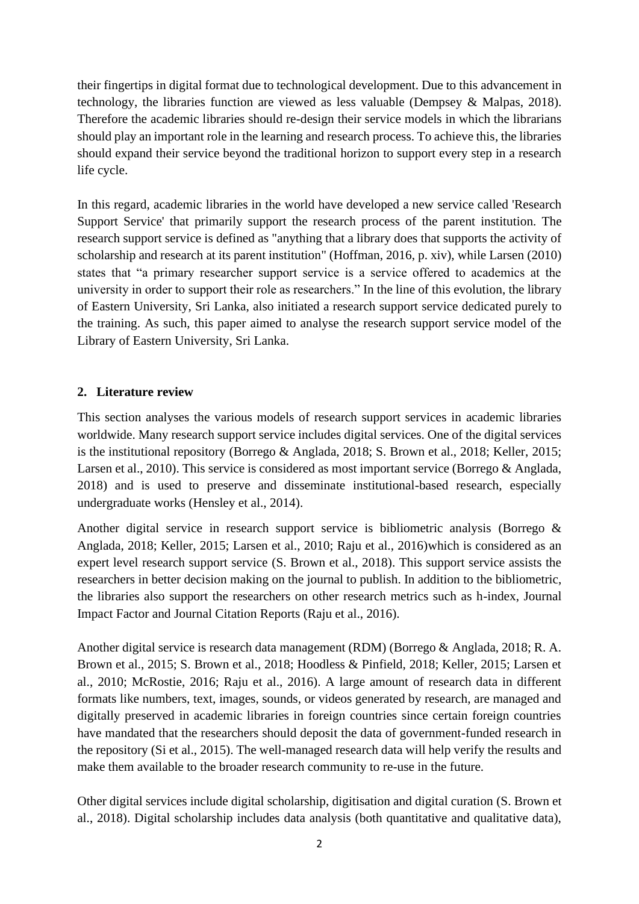their fingertips in digital format due to technological development. Due to this advancement in technology, the libraries function are viewed as less valuable (Dempsey & Malpas, 2018). Therefore the academic libraries should re-design their service models in which the librarians should play an important role in the learning and research process. To achieve this, the libraries should expand their service beyond the traditional horizon to support every step in a research life cycle.

In this regard, academic libraries in the world have developed a new service called 'Research Support Service' that primarily support the research process of the parent institution. The research support service is defined as "anything that a library does that supports the activity of scholarship and research at its parent institution" (Hoffman, 2016, p. xiv), while Larsen (2010) states that "a primary researcher support service is a service offered to academics at the university in order to support their role as researchers." In the line of this evolution, the library of Eastern University, Sri Lanka, also initiated a research support service dedicated purely to the training. As such, this paper aimed to analyse the research support service model of the Library of Eastern University, Sri Lanka.

# **2. Literature review**

This section analyses the various models of research support services in academic libraries worldwide. Many research support service includes digital services. One of the digital services is the institutional repository (Borrego & Anglada, 2018; S. Brown et al., 2018; Keller, 2015; Larsen et al., 2010). This service is considered as most important service (Borrego & Anglada, 2018) and is used to preserve and disseminate institutional-based research, especially undergraduate works (Hensley et al., 2014).

Another digital service in research support service is bibliometric analysis (Borrego & Anglada, 2018; Keller, 2015; Larsen et al., 2010; Raju et al., 2016)which is considered as an expert level research support service (S. Brown et al., 2018). This support service assists the researchers in better decision making on the journal to publish. In addition to the bibliometric, the libraries also support the researchers on other research metrics such as h-index, Journal Impact Factor and Journal Citation Reports (Raju et al., 2016).

Another digital service is research data management (RDM) (Borrego & Anglada, 2018; R. A. Brown et al., 2015; S. Brown et al., 2018; Hoodless & Pinfield, 2018; Keller, 2015; Larsen et al., 2010; McRostie, 2016; Raju et al., 2016). A large amount of research data in different formats like numbers, text, images, sounds, or videos generated by research, are managed and digitally preserved in academic libraries in foreign countries since certain foreign countries have mandated that the researchers should deposit the data of government-funded research in the repository (Si et al., 2015). The well-managed research data will help verify the results and make them available to the broader research community to re-use in the future.

Other digital services include digital scholarship, digitisation and digital curation (S. Brown et al., 2018). Digital scholarship includes data analysis (both quantitative and qualitative data),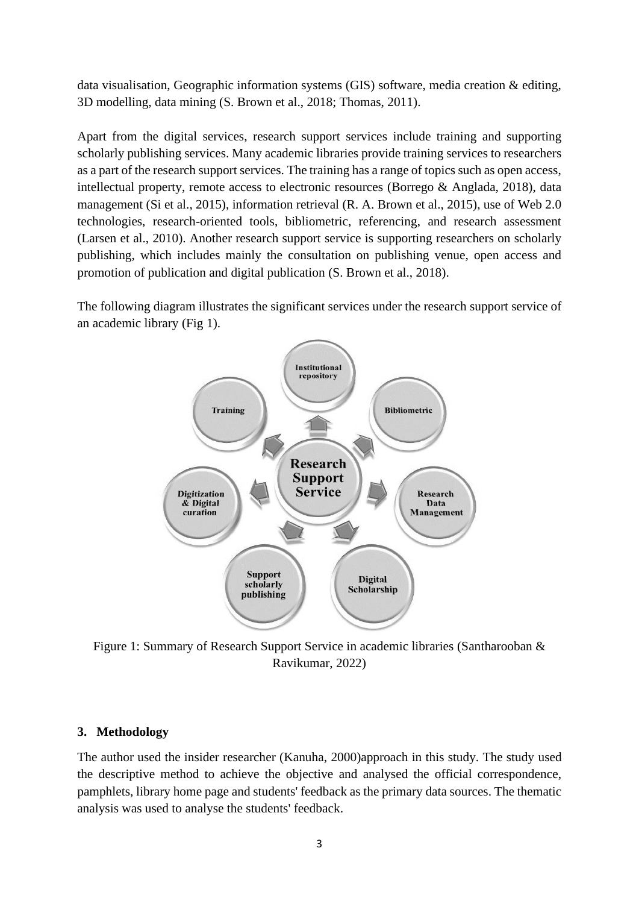data visualisation, Geographic information systems (GIS) software, media creation & editing, 3D modelling, data mining (S. Brown et al., 2018; Thomas, 2011).

Apart from the digital services, research support services include training and supporting scholarly publishing services. Many academic libraries provide training services to researchers as a part of the research support services. The training has a range of topics such as open access, intellectual property, remote access to electronic resources (Borrego & Anglada, 2018), data management (Si et al., 2015), information retrieval (R. A. Brown et al., 2015), use of Web 2.0 technologies, research-oriented tools, bibliometric, referencing, and research assessment (Larsen et al., 2010). Another research support service is supporting researchers on scholarly publishing, which includes mainly the consultation on publishing venue, open access and promotion of publication and digital publication (S. Brown et al., 2018).

The following diagram illustrates the significant services under the research support service of an academic library (Fig 1).



Figure 1: Summary of Research Support Service in academic libraries (Santharooban & Ravikumar, 2022)

#### **3. Methodology**

The author used the insider researcher (Kanuha, 2000)approach in this study. The study used the descriptive method to achieve the objective and analysed the official correspondence, pamphlets, library home page and students' feedback as the primary data sources. The thematic analysis was used to analyse the students' feedback.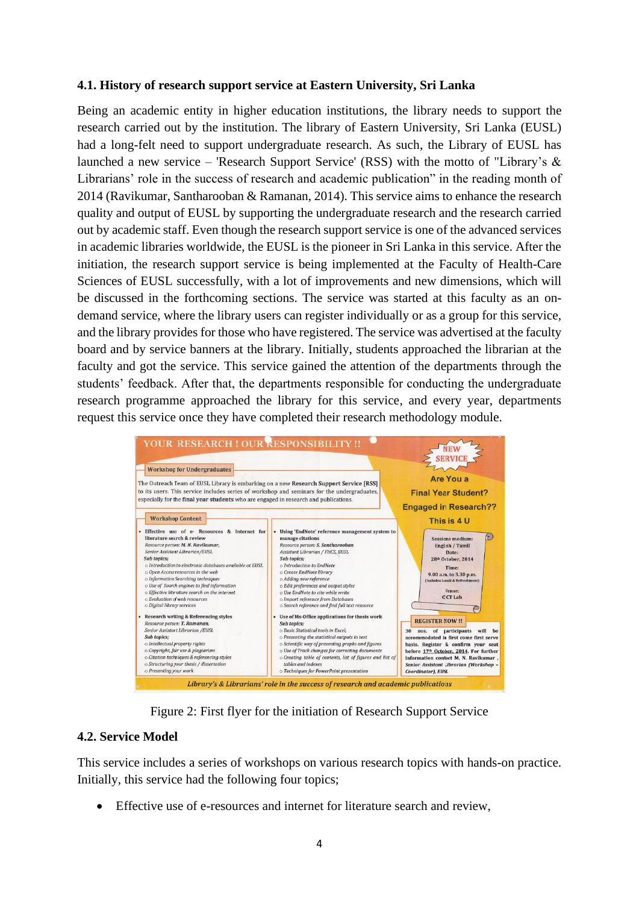#### **4.1. History of research support service at Eastern University, Sri Lanka**

Being an academic entity in higher education institutions, the library needs to support the research carried out by the institution. The library of Eastern University, Sri Lanka (EUSL) had a long-felt need to support undergraduate research. As such, the Library of EUSL has launched a new service – 'Research Support Service' (RSS) with the motto of "Library's & Librarians' role in the success of research and academic publication" in the reading month of 2014 (Ravikumar, Santharooban & Ramanan, 2014). This service aims to enhance the research quality and output of EUSL by supporting the undergraduate research and the research carried out by academic staff. Even though the research support service is one of the advanced services in academic libraries worldwide, the EUSL is the pioneer in Sri Lanka in this service. After the initiation, the research support service is being implemented at the Faculty of Health-Care Sciences of EUSL successfully, with a lot of improvements and new dimensions, which will be discussed in the forthcoming sections. The service was started at this faculty as an ondemand service, where the library users can register individually or as a group for this service, and the library provides for those who have registered. The service was advertised at the faculty board and by service banners at the library. Initially, students approached the librarian at the faculty and got the service. This service gained the attention of the departments through the students' feedback. After that, the departments responsible for conducting the undergraduate research programme approached the library for this service, and every year, departments request this service once they have completed their research methodology module.



Figure 2: First flyer for the initiation of Research Support Service

# **4.2. Service Model**

This service includes a series of workshops on various research topics with hands-on practice. Initially, this service had the following four topics;

• Effective use of e-resources and internet for literature search and review,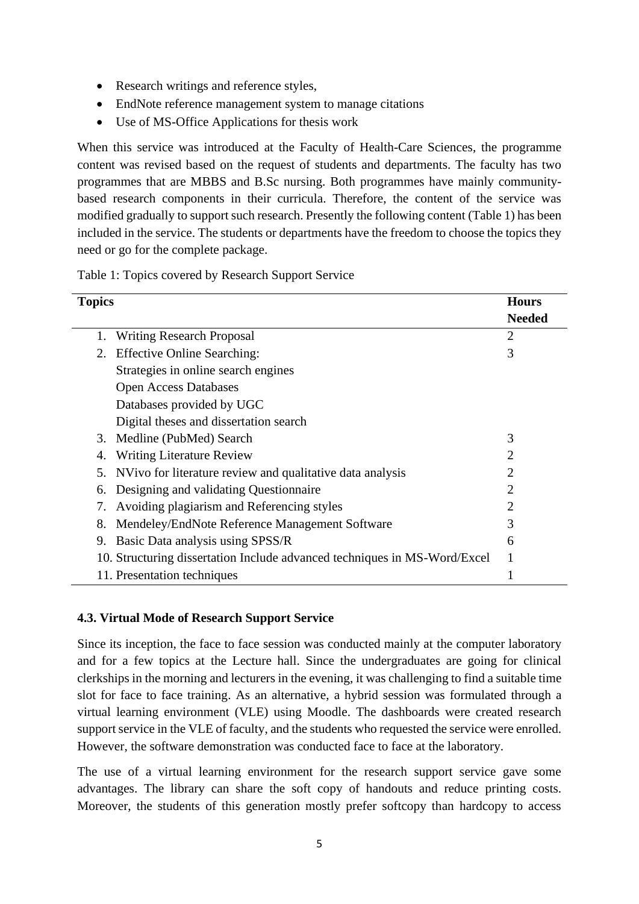- Research writings and reference styles,
- EndNote reference management system to manage citations
- Use of MS-Office Applications for thesis work

When this service was introduced at the Faculty of Health-Care Sciences, the programme content was revised based on the request of students and departments. The faculty has two programmes that are MBBS and B.Sc nursing. Both programmes have mainly communitybased research components in their curricula. Therefore, the content of the service was modified gradually to support such research. Presently the following content (Table 1) has been included in the service. The students or departments have the freedom to choose the topics they need or go for the complete package.

Table 1: Topics covered by Research Support Service

| <b>Topics</b>                                                             | <b>Hours</b>  |
|---------------------------------------------------------------------------|---------------|
|                                                                           | <b>Needed</b> |
| <b>Writing Research Proposal</b><br>1.                                    | 2             |
| <b>Effective Online Searching:</b><br>2.                                  | 3             |
| Strategies in online search engines                                       |               |
| <b>Open Access Databases</b>                                              |               |
| Databases provided by UGC                                                 |               |
| Digital theses and dissertation search                                    |               |
| Medline (PubMed) Search<br>3.                                             | 3             |
| <b>Writing Literature Review</b><br>4.                                    | 2             |
| NVivo for literature review and qualitative data analysis<br>5.           | 2             |
| Designing and validating Questionnaire<br>6.                              | 2             |
| Avoiding plagiarism and Referencing styles<br>7.                          | 2             |
| Mendeley/EndNote Reference Management Software<br>8.                      | 3             |
| Basic Data analysis using SPSS/R<br>9.                                    | 6             |
| 10. Structuring dissertation Include advanced techniques in MS-Word/Excel |               |
| 11. Presentation techniques                                               |               |

## **4.3. Virtual Mode of Research Support Service**

Since its inception, the face to face session was conducted mainly at the computer laboratory and for a few topics at the Lecture hall. Since the undergraduates are going for clinical clerkships in the morning and lecturers in the evening, it was challenging to find a suitable time slot for face to face training. As an alternative, a hybrid session was formulated through a virtual learning environment (VLE) using Moodle. The dashboards were created research support service in the VLE of faculty, and the students who requested the service were enrolled. However, the software demonstration was conducted face to face at the laboratory.

The use of a virtual learning environment for the research support service gave some advantages. The library can share the soft copy of handouts and reduce printing costs. Moreover, the students of this generation mostly prefer softcopy than hardcopy to access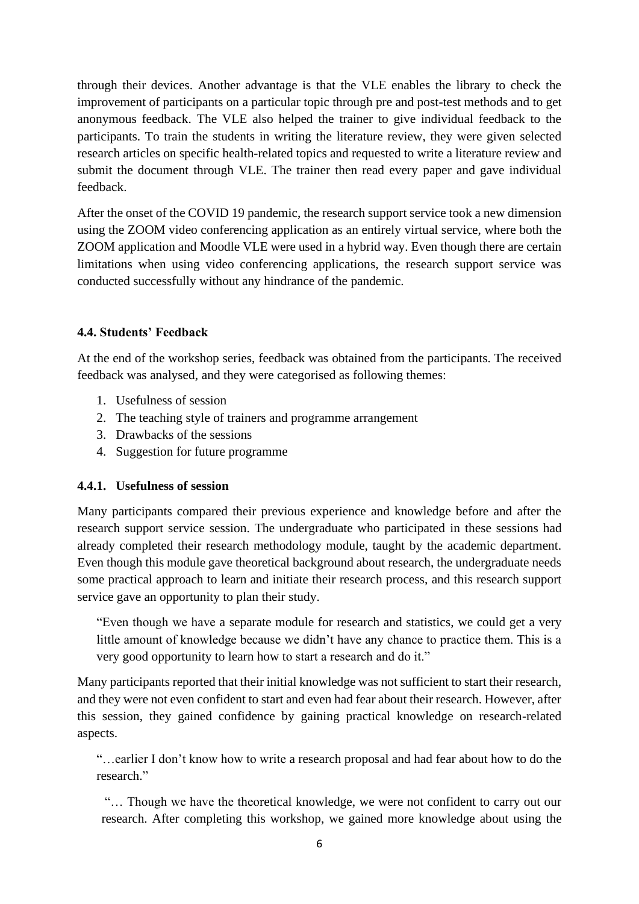through their devices. Another advantage is that the VLE enables the library to check the improvement of participants on a particular topic through pre and post-test methods and to get anonymous feedback. The VLE also helped the trainer to give individual feedback to the participants. To train the students in writing the literature review, they were given selected research articles on specific health-related topics and requested to write a literature review and submit the document through VLE. The trainer then read every paper and gave individual feedback.

After the onset of the COVID 19 pandemic, the research support service took a new dimension using the ZOOM video conferencing application as an entirely virtual service, where both the ZOOM application and Moodle VLE were used in a hybrid way. Even though there are certain limitations when using video conferencing applications, the research support service was conducted successfully without any hindrance of the pandemic.

# **4.4. Students' Feedback**

At the end of the workshop series, feedback was obtained from the participants. The received feedback was analysed, and they were categorised as following themes:

- 1. Usefulness of session
- 2. The teaching style of trainers and programme arrangement
- 3. Drawbacks of the sessions
- 4. Suggestion for future programme

## **4.4.1. Usefulness of session**

Many participants compared their previous experience and knowledge before and after the research support service session. The undergraduate who participated in these sessions had already completed their research methodology module, taught by the academic department. Even though this module gave theoretical background about research, the undergraduate needs some practical approach to learn and initiate their research process, and this research support service gave an opportunity to plan their study.

"Even though we have a separate module for research and statistics, we could get a very little amount of knowledge because we didn't have any chance to practice them. This is a very good opportunity to learn how to start a research and do it."

Many participants reported that their initial knowledge was not sufficient to start their research, and they were not even confident to start and even had fear about their research. However, after this session, they gained confidence by gaining practical knowledge on research-related aspects.

"…earlier I don't know how to write a research proposal and had fear about how to do the research."

"… Though we have the theoretical knowledge, we were not confident to carry out our research. After completing this workshop, we gained more knowledge about using the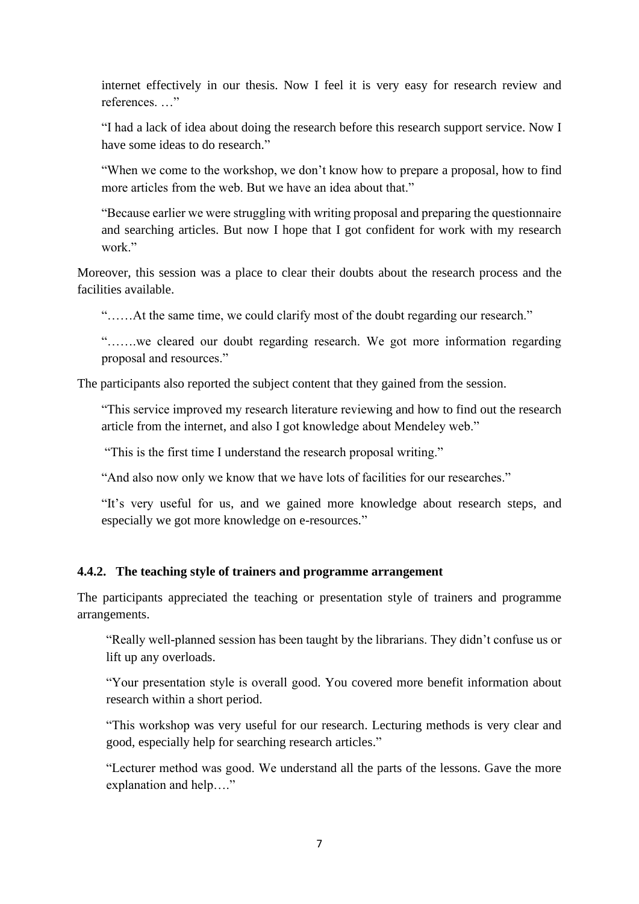internet effectively in our thesis. Now I feel it is very easy for research review and references. ..."

"I had a lack of idea about doing the research before this research support service. Now I have some ideas to do research."

"When we come to the workshop, we don't know how to prepare a proposal, how to find more articles from the web. But we have an idea about that."

"Because earlier we were struggling with writing proposal and preparing the questionnaire and searching articles. But now I hope that I got confident for work with my research work."

Moreover, this session was a place to clear their doubts about the research process and the facilities available.

"……At the same time, we could clarify most of the doubt regarding our research."

"…….we cleared our doubt regarding research. We got more information regarding proposal and resources."

The participants also reported the subject content that they gained from the session.

"This service improved my research literature reviewing and how to find out the research article from the internet, and also I got knowledge about Mendeley web."

"This is the first time I understand the research proposal writing."

"And also now only we know that we have lots of facilities for our researches."

"It's very useful for us, and we gained more knowledge about research steps, and especially we got more knowledge on e-resources."

## **4.4.2. The teaching style of trainers and programme arrangement**

The participants appreciated the teaching or presentation style of trainers and programme arrangements.

"Really well-planned session has been taught by the librarians. They didn't confuse us or lift up any overloads.

"Your presentation style is overall good. You covered more benefit information about research within a short period.

"This workshop was very useful for our research. Lecturing methods is very clear and good, especially help for searching research articles."

"Lecturer method was good. We understand all the parts of the lessons. Gave the more explanation and help…."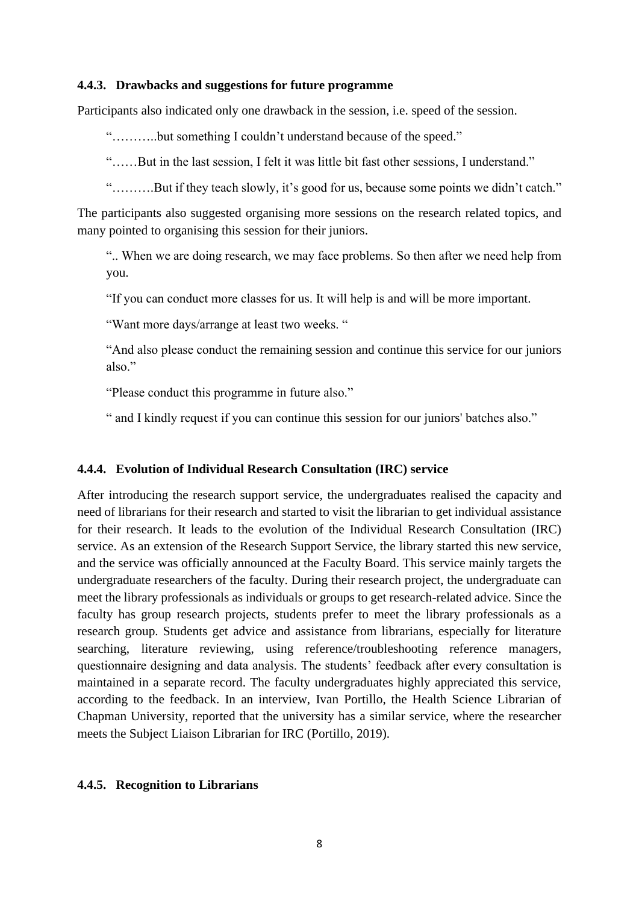#### **4.4.3. Drawbacks and suggestions for future programme**

Participants also indicated only one drawback in the session, i.e. speed of the session.

"………..but something I couldn't understand because of the speed."

"……But in the last session, I felt it was little bit fast other sessions, I understand."

"……….But if they teach slowly, it's good for us, because some points we didn't catch."

The participants also suggested organising more sessions on the research related topics, and many pointed to organising this session for their juniors.

".. When we are doing research, we may face problems. So then after we need help from you.

"If you can conduct more classes for us. It will help is and will be more important.

"Want more days/arrange at least two weeks. "

"And also please conduct the remaining session and continue this service for our juniors also."

"Please conduct this programme in future also."

" and I kindly request if you can continue this session for our juniors' batches also."

#### **4.4.4. Evolution of Individual Research Consultation (IRC) service**

After introducing the research support service, the undergraduates realised the capacity and need of librarians for their research and started to visit the librarian to get individual assistance for their research. It leads to the evolution of the Individual Research Consultation (IRC) service. As an extension of the Research Support Service, the library started this new service, and the service was officially announced at the Faculty Board. This service mainly targets the undergraduate researchers of the faculty. During their research project, the undergraduate can meet the library professionals as individuals or groups to get research-related advice. Since the faculty has group research projects, students prefer to meet the library professionals as a research group. Students get advice and assistance from librarians, especially for literature searching, literature reviewing, using reference/troubleshooting reference managers, questionnaire designing and data analysis. The students' feedback after every consultation is maintained in a separate record. The faculty undergraduates highly appreciated this service, according to the feedback. In an interview, Ivan Portillo, the Health Science Librarian of Chapman University, reported that the university has a similar service, where the researcher meets the Subject Liaison Librarian for IRC (Portillo, 2019).

#### **4.4.5. Recognition to Librarians**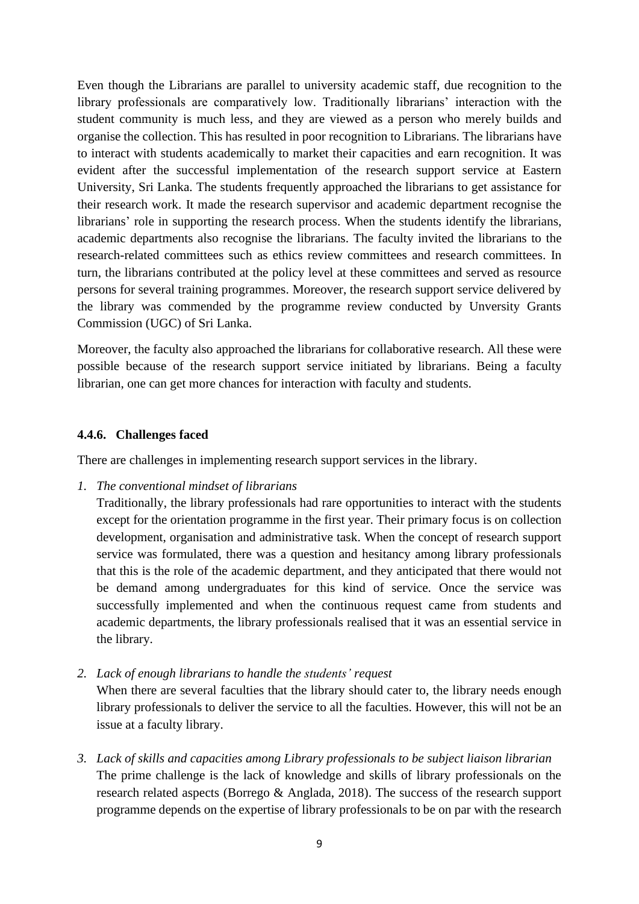Even though the Librarians are parallel to university academic staff, due recognition to the library professionals are comparatively low. Traditionally librarians' interaction with the student community is much less, and they are viewed as a person who merely builds and organise the collection. This has resulted in poor recognition to Librarians. The librarians have to interact with students academically to market their capacities and earn recognition. It was evident after the successful implementation of the research support service at Eastern University, Sri Lanka. The students frequently approached the librarians to get assistance for their research work. It made the research supervisor and academic department recognise the librarians' role in supporting the research process. When the students identify the librarians, academic departments also recognise the librarians. The faculty invited the librarians to the research-related committees such as ethics review committees and research committees. In turn, the librarians contributed at the policy level at these committees and served as resource persons for several training programmes. Moreover, the research support service delivered by the library was commended by the programme review conducted by Unversity Grants Commission (UGC) of Sri Lanka.

Moreover, the faculty also approached the librarians for collaborative research. All these were possible because of the research support service initiated by librarians. Being a faculty librarian, one can get more chances for interaction with faculty and students.

#### **4.4.6. Challenges faced**

There are challenges in implementing research support services in the library.

- *1. The conventional mindset of librarians*
	- Traditionally, the library professionals had rare opportunities to interact with the students except for the orientation programme in the first year. Their primary focus is on collection development, organisation and administrative task. When the concept of research support service was formulated, there was a question and hesitancy among library professionals that this is the role of the academic department, and they anticipated that there would not be demand among undergraduates for this kind of service. Once the service was successfully implemented and when the continuous request came from students and academic departments, the library professionals realised that it was an essential service in the library.
- *2. Lack of enough librarians to handle the students' request*  When there are several faculties that the library should cater to, the library needs enough library professionals to deliver the service to all the faculties. However, this will not be an issue at a faculty library.
- *3. Lack of skills and capacities among Library professionals to be subject liaison librarian* The prime challenge is the lack of knowledge and skills of library professionals on the research related aspects (Borrego & Anglada, 2018). The success of the research support programme depends on the expertise of library professionals to be on par with the research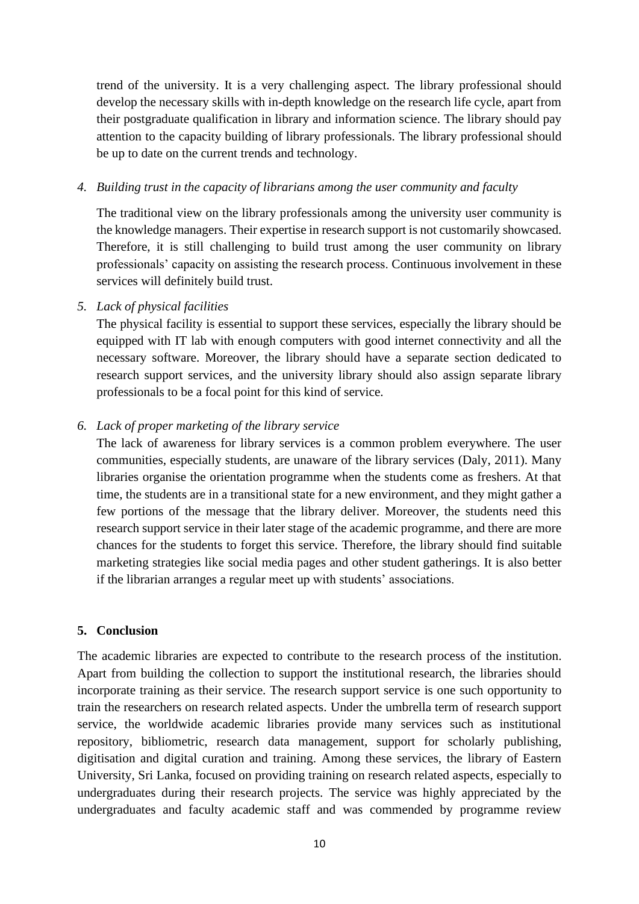trend of the university. It is a very challenging aspect. The library professional should develop the necessary skills with in-depth knowledge on the research life cycle, apart from their postgraduate qualification in library and information science. The library should pay attention to the capacity building of library professionals. The library professional should be up to date on the current trends and technology.

#### *4. Building trust in the capacity of librarians among the user community and faculty*

The traditional view on the library professionals among the university user community is the knowledge managers. Their expertise in research support is not customarily showcased. Therefore, it is still challenging to build trust among the user community on library professionals' capacity on assisting the research process. Continuous involvement in these services will definitely build trust.

#### *5. Lack of physical facilities*

The physical facility is essential to support these services, especially the library should be equipped with IT lab with enough computers with good internet connectivity and all the necessary software. Moreover, the library should have a separate section dedicated to research support services, and the university library should also assign separate library professionals to be a focal point for this kind of service.

#### *6. Lack of proper marketing of the library service*

The lack of awareness for library services is a common problem everywhere. The user communities, especially students, are unaware of the library services (Daly, 2011). Many libraries organise the orientation programme when the students come as freshers. At that time, the students are in a transitional state for a new environment, and they might gather a few portions of the message that the library deliver. Moreover, the students need this research support service in their later stage of the academic programme, and there are more chances for the students to forget this service. Therefore, the library should find suitable marketing strategies like social media pages and other student gatherings. It is also better if the librarian arranges a regular meet up with students' associations.

## **5. Conclusion**

The academic libraries are expected to contribute to the research process of the institution. Apart from building the collection to support the institutional research, the libraries should incorporate training as their service. The research support service is one such opportunity to train the researchers on research related aspects. Under the umbrella term of research support service, the worldwide academic libraries provide many services such as institutional repository, bibliometric, research data management, support for scholarly publishing, digitisation and digital curation and training. Among these services, the library of Eastern University, Sri Lanka, focused on providing training on research related aspects, especially to undergraduates during their research projects. The service was highly appreciated by the undergraduates and faculty academic staff and was commended by programme review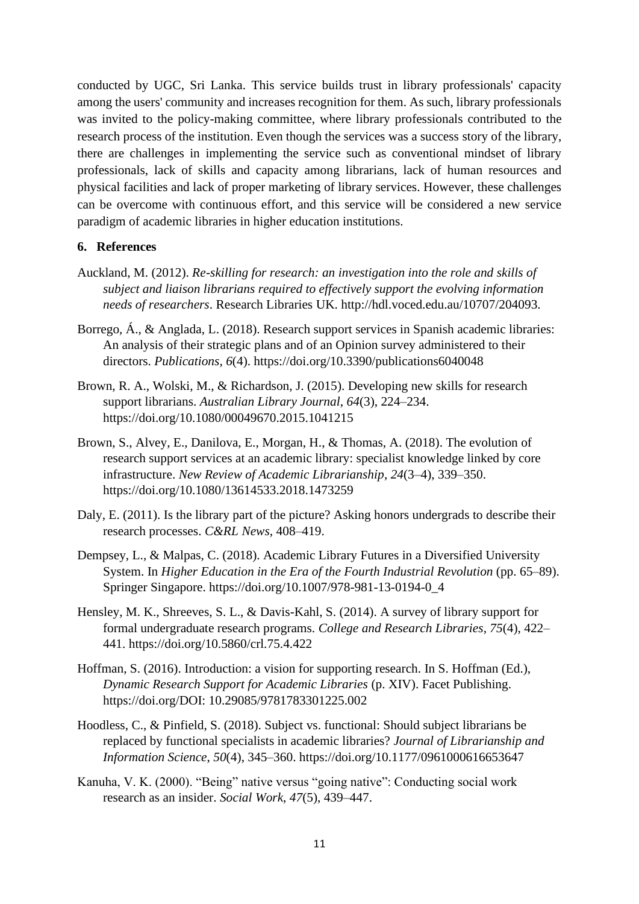conducted by UGC, Sri Lanka. This service builds trust in library professionals' capacity among the users' community and increases recognition for them. As such, library professionals was invited to the policy-making committee, where library professionals contributed to the research process of the institution. Even though the services was a success story of the library, there are challenges in implementing the service such as conventional mindset of library professionals, lack of skills and capacity among librarians, lack of human resources and physical facilities and lack of proper marketing of library services. However, these challenges can be overcome with continuous effort, and this service will be considered a new service paradigm of academic libraries in higher education institutions.

#### **6. References**

- Auckland, M. (2012). *Re-skilling for research: an investigation into the role and skills of subject and liaison librarians required to effectively support the evolving information needs of researchers*. Research Libraries UK. http://hdl.voced.edu.au/10707/204093.
- Borrego, Á., & Anglada, L. (2018). Research support services in Spanish academic libraries: An analysis of their strategic plans and of an Opinion survey administered to their directors. *Publications*, *6*(4). https://doi.org/10.3390/publications6040048
- Brown, R. A., Wolski, M., & Richardson, J. (2015). Developing new skills for research support librarians. *Australian Library Journal*, *64*(3), 224–234. https://doi.org/10.1080/00049670.2015.1041215
- Brown, S., Alvey, E., Danilova, E., Morgan, H., & Thomas, A. (2018). The evolution of research support services at an academic library: specialist knowledge linked by core infrastructure. *New Review of Academic Librarianship*, *24*(3–4), 339–350. https://doi.org/10.1080/13614533.2018.1473259
- Daly, E. (2011). Is the library part of the picture? Asking honors undergrads to describe their research processes. *C&RL News*, 408–419.
- Dempsey, L., & Malpas, C. (2018). Academic Library Futures in a Diversified University System. In *Higher Education in the Era of the Fourth Industrial Revolution* (pp. 65–89). Springer Singapore. https://doi.org/10.1007/978-981-13-0194-0\_4
- Hensley, M. K., Shreeves, S. L., & Davis-Kahl, S. (2014). A survey of library support for formal undergraduate research programs. *College and Research Libraries*, *75*(4), 422– 441. https://doi.org/10.5860/crl.75.4.422
- Hoffman, S. (2016). Introduction: a vision for supporting research. In S. Hoffman (Ed.), *Dynamic Research Support for Academic Libraries* (p. XIV). Facet Publishing. https://doi.org/DOI: 10.29085/9781783301225.002
- Hoodless, C., & Pinfield, S. (2018). Subject vs. functional: Should subject librarians be replaced by functional specialists in academic libraries? *Journal of Librarianship and Information Science*, *50*(4), 345–360. https://doi.org/10.1177/0961000616653647
- Kanuha, V. K. (2000). "Being" native versus "going native": Conducting social work research as an insider. *Social Work*, *47*(5), 439–447.